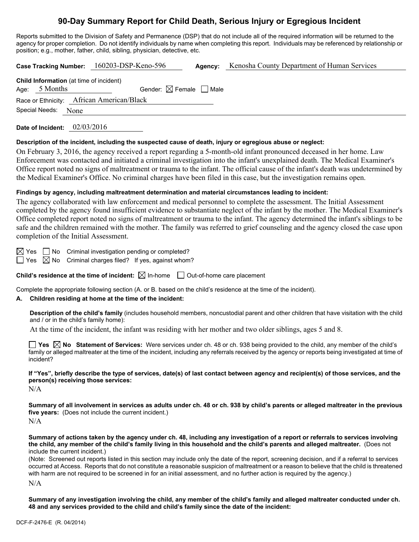# **90-Day Summary Report for Child Death, Serious Injury or Egregious Incident**

Reports submitted to the Division of Safety and Permanence (DSP) that do not include all of the required information will be returned to the agency for proper completion. Do not identify individuals by name when completing this report. Individuals may be referenced by relationship or position; e.g., mother, father, child, sibling, physician, detective, etc.

**Case Tracking Number:** 160203-DSP-Keno-596 **Agency:** Kenosha County Department of Human Services

| <b>Child Information</b> (at time of incident) |                     |                                        |  |  |
|------------------------------------------------|---------------------|----------------------------------------|--|--|
|                                                | Age: 5 Months       | Gender: $\boxtimes$ Female $\Box$ Male |  |  |
| Race or Ethnicity: African American/Black      |                     |                                        |  |  |
|                                                | Special Needs: None |                                        |  |  |

**Date of Incident:** 02/03/2016

#### **Description of the incident, including the suspected cause of death, injury or egregious abuse or neglect:**

On February 3, 2016, the agency received a report regarding a 5-month-old infant pronounced deceased in her home. Law Enforcement was contacted and initiated a criminal investigation into the infant's unexplained death. The Medical Examiner's Office report noted no signs of maltreatment or trauma to the infant. The official cause of the infant's death was undetermined by the Medical Examiner's Office. No criminal charges have been filed in this case, but the investigation remains open.

#### **Findings by agency, including maltreatment determination and material circumstances leading to incident:**

The agency collaborated with law enforcement and medical personnel to complete the assessment. The Initial Assessment completed by the agency found insufficient evidence to substantiate neglect of the infant by the mother. The Medical Examiner's Office completed report noted no signs of maltreatment or trauma to the infant. The agency determined the infant's siblings to be safe and the children remained with the mother. The family was referred to grief counseling and the agency closed the case upon completion of the Initial Assessment.

 $\boxtimes$  Yes  $\Box$  No Criminal investigation pending or completed?

 $\Box$  Yes  $\boxtimes$  No Criminal charges filed? If yes, against whom?

**Child's residence at the time of incident:**  $\boxtimes$  In-home  $\Box$  Out-of-home care placement

Complete the appropriate following section (A. or B. based on the child's residence at the time of the incident).

### **A. Children residing at home at the time of the incident:**

**Description of the child's family** (includes household members, noncustodial parent and other children that have visitation with the child and / or in the child's family home):

At the time of the incident, the infant was residing with her mother and two older siblings, ages 5 and 8.

**Yes No Statement of Services:** Were services under ch. 48 or ch. 938 being provided to the child, any member of the child's family or alleged maltreater at the time of the incident, including any referrals received by the agency or reports being investigated at time of incident?

**If "Yes", briefly describe the type of services, date(s) of last contact between agency and recipient(s) of those services, and the person(s) receiving those services:** 

N/A

**Summary of all involvement in services as adults under ch. 48 or ch. 938 by child's parents or alleged maltreater in the previous five years:** (Does not include the current incident.)  $N/A$ 

**Summary of actions taken by the agency under ch. 48, including any investigation of a report or referrals to services involving the child, any member of the child's family living in this household and the child's parents and alleged maltreater.** (Does not include the current incident.)

(Note: Screened out reports listed in this section may include only the date of the report, screening decision, and if a referral to services occurred at Access. Reports that do not constitute a reasonable suspicion of maltreatment or a reason to believe that the child is threatened with harm are not required to be screened in for an initial assessment, and no further action is required by the agency.)

N/A

**Summary of any investigation involving the child, any member of the child's family and alleged maltreater conducted under ch. 48 and any services provided to the child and child's family since the date of the incident:**